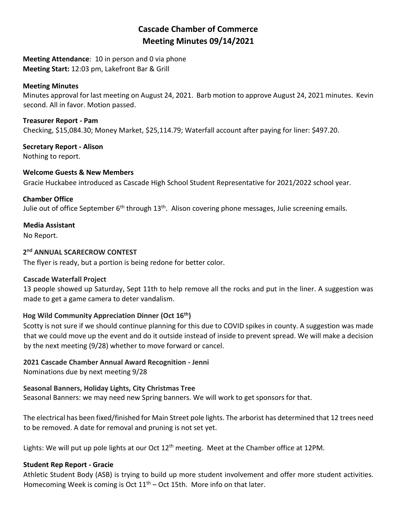# **Cascade Chamber of Commerce Meeting Minutes 09/14/2021**

**Meeting Attendance**: 10 in person and 0 via phone **Meeting Start:** 12:03 pm, Lakefront Bar & Grill

### **Meeting Minutes**

Minutes approval for last meeting on August 24, 2021. Barb motion to approve August 24, 2021 minutes. Kevin second. All in favor. Motion passed.

**Treasurer Report - Pam** Checking, \$15,084.30; Money Market, \$25,114.79; Waterfall account after paying for liner: \$497.20.

**Secretary Report - Alison** Nothing to report.

### **Welcome Guests & New Members**

Gracie Huckabee introduced as Cascade High School Student Representative for 2021/2022 school year.

#### **Chamber Office**

Julie out of office September  $6<sup>th</sup>$  through  $13<sup>th</sup>$ . Alison covering phone messages, Julie screening emails.

### **Media Assistant**

No Report.

### **2 nd ANNUAL SCARECROW CONTEST**

The flyer is ready, but a portion is being redone for better color.

#### **Cascade Waterfall Project**

13 people showed up Saturday, Sept 11th to help remove all the rocks and put in the liner. A suggestion was made to get a game camera to deter vandalism.

# **Hog Wild Community Appreciation Dinner (Oct 16th)**

Scotty is not sure if we should continue planning for this due to COVID spikes in county. A suggestion was made that we could move up the event and do it outside instead of inside to prevent spread. We will make a decision by the next meeting (9/28) whether to move forward or cancel.

# **2021 Cascade Chamber Annual Award Recognition - Jenni**

Nominations due by next meeting 9/28

# **Seasonal Banners, Holiday Lights, City Christmas Tree**

Seasonal Banners: we may need new Spring banners. We will work to get sponsors for that.

The electrical has been fixed/finished for Main Street pole lights. The arborist has determined that 12 trees need to be removed. A date for removal and pruning is not set yet.

Lights: We will put up pole lights at our Oct 12<sup>th</sup> meeting. Meet at the Chamber office at 12PM.

#### **Student Rep Report - Gracie**

Athletic Student Body (ASB) is trying to build up more student involvement and offer more student activities. Homecoming Week is coming is Oct  $11<sup>th</sup>$  – Oct 15th. More info on that later.